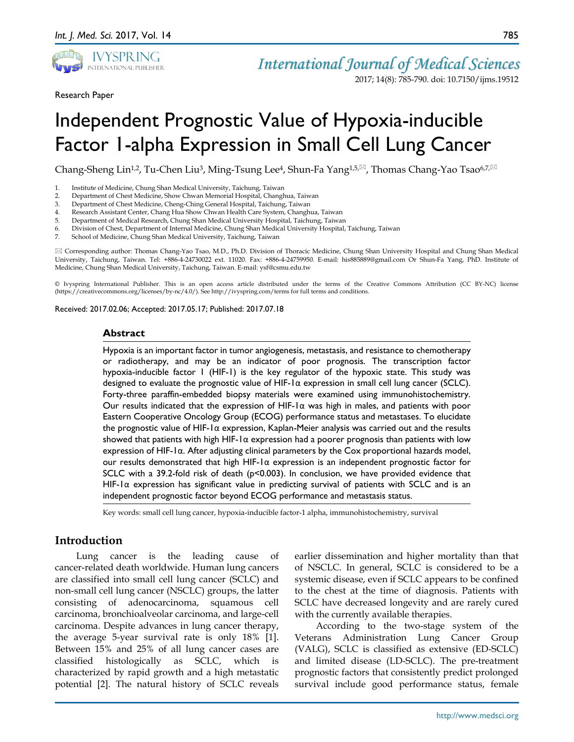

*International Journal of Medical Sciences*

2017; 14(8): 785-790. doi: 10.7150/ijms.19512

Research Paper

# Independent Prognostic Value of Hypoxia-inducible Factor 1-alpha Expression in Small Cell Lung Cancer

Chang-Sheng Lin<sup>1,2</sup>, Tu-Chen Liu<sup>3</sup>, Ming-Tsung Lee<sup>4</sup>, Shun-Fa Yang<sup>1,5, $\boxtimes$ , Thomas Chang-Yao Tsao<sup>6,7, $\boxtimes$ </sup></sup>

- 2. Department of Chest Medicine, Show Chwan Memorial Hospital, Changhua, Taiwan
- 3. Department of Chest Medicine, Cheng-Ching General Hospital, Taichung, Taiwan
- 4. Research Assistant Center, Chang Hua Show Chwan Health Care System, Changhua, Taiwan
- 5. Department of Medical Research, Chung Shan Medical University Hospital, Taichung, Taiwan
- 6. Division of Chest, Department of Internal Medicine, Chung Shan Medical University Hospital, Taichung, Taiwan
- 7. School of Medicine, Chung Shan Medical University, Taichung, Taiwan

 Corresponding author: Thomas Chang-Yao Tsao, M.D., Ph.D. Division of Thoracic Medicine, Chung Shan University Hospital and Chung Shan Medical University, Taichung, Taiwan. Tel: +886-4-24730022 ext. 11020. Fax: +886-4-24759950. E-mail: his885889@gmail.com Or Shun-Fa Yang, PhD. Institute of Medicine, Chung Shan Medical University, Taichung, Taiwan. E-mail: ysf@csmu.edu.tw

© Ivyspring International Publisher. This is an open access article distributed under the terms of the Creative Commons Attribution (CC BY-NC) license (https://creativecommons.org/licenses/by-nc/4.0/). See http://ivyspring.com/terms for full terms and conditions.

Received: 2017.02.06; Accepted: 2017.05.17; Published: 2017.07.18

#### **Abstract**

Hypoxia is an important factor in tumor angiogenesis, metastasis, and resistance to chemotherapy or radiotherapy, and may be an indicator of poor prognosis. The transcription factor hypoxia-inducible factor 1 (HIF-1) is the key regulator of the hypoxic state. This study was designed to evaluate the prognostic value of HIF-1α expression in small cell lung cancer (SCLC). Forty-three paraffin-embedded biopsy materials were examined using immunohistochemistry. Our results indicated that the expression of HIF-1 $\alpha$  was high in males, and patients with poor Eastern Cooperative Oncology Group (ECOG) performance status and metastases. To elucidate the prognostic value of HIF-1α expression, Kaplan-Meier analysis was carried out and the results showed that patients with high HIF-1 $\alpha$  expression had a poorer prognosis than patients with low expression of HIF-1α. After adjusting clinical parameters by the Cox proportional hazards model, our results demonstrated that high HIF-1α expression is an independent prognostic factor for SCLC with a 39.2-fold risk of death (p<0.003). In conclusion, we have provided evidence that HIF-1 $\alpha$  expression has significant value in predicting survival of patients with SCLC and is an independent prognostic factor beyond ECOG performance and metastasis status.

Key words: small cell lung cancer, hypoxia-inducible factor-1 alpha, immunohistochemistry, survival

# **Introduction**

Lung cancer is the leading cause of cancer-related death worldwide. Human lung cancers are classified into small cell lung cancer (SCLC) and non-small cell lung cancer (NSCLC) groups, the latter consisting of adenocarcinoma, squamous cell carcinoma, bronchioalveolar carcinoma, and large-cell carcinoma. Despite advances in lung cancer therapy, the average 5-year survival rate is only 18% [1]. Between 15% and 25% of all lung cancer cases are classified histologically as SCLC, which is characterized by rapid growth and a high metastatic potential [2]. The natural history of SCLC reveals

earlier dissemination and higher mortality than that of NSCLC. In general, SCLC is considered to be a systemic disease, even if SCLC appears to be confined to the chest at the time of diagnosis. Patients with SCLC have decreased longevity and are rarely cured with the currently available therapies.

According to the two-stage system of the Veterans Administration Lung Cancer Group (VALG), SCLC is classified as extensive (ED-SCLC) and limited disease (LD-SCLC). The pre-treatment prognostic factors that consistently predict prolonged survival include good performance status, female

<sup>1.</sup> Institute of Medicine, Chung Shan Medical University, Taichung, Taiwan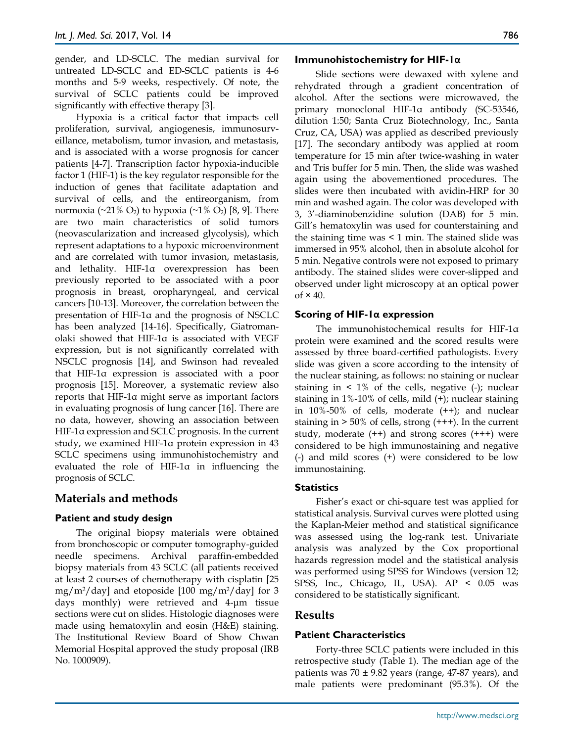gender, and LD-SCLC. The median survival for untreated LD-SCLC and ED-SCLC patients is 4-6 months and 5-9 weeks, respectively. Of note, the survival of SCLC patients could be improved significantly with effective therapy [3].

Hypoxia is a critical factor that impacts cell proliferation, survival, angiogenesis, immunosurveillance, metabolism, tumor invasion, and metastasis, and is associated with a worse prognosis for cancer patients [4-7]. Transcription factor hypoxia-inducible factor 1 (HIF-1) is the key regulator responsible for the induction of genes that facilitate adaptation and survival of cells, and the entireorganism, from normoxia (~21% O2) to hypoxia (~1% O2) [8, 9]. There are two main characteristics of solid tumors (neovascularization and increased glycolysis), which represent adaptations to a hypoxic microenvironment and are correlated with tumor invasion, metastasis, and lethality. HIF-1α overexpression has been previously reported to be associated with a poor prognosis in breast, oropharyngeal, and cervical cancers [10-13]. Moreover, the correlation between the presentation of HIF-1α and the prognosis of NSCLC has been analyzed [14-16]. Specifically, Giatromanolaki showed that HIF-1α is associated with VEGF expression, but is not significantly correlated with NSCLC prognosis [14], and Swinson had revealed that HIF-1α expression is associated with a poor prognosis [15]. Moreover, a systematic review also reports that HIF-1α might serve as important factors in evaluating prognosis of lung cancer [16]. There are no data, however, showing an association between HIF-1α expression and SCLC prognosis. In the current study, we examined HIF-1α protein expression in 43 SCLC specimens using immunohistochemistry and evaluated the role of HIF-1α in influencing the prognosis of SCLC.

# **Materials and methods**

## **Patient and study design**

The original biopsy materials were obtained from bronchoscopic or computer tomography-guided needle specimens. Archival paraffin-embedded biopsy materials from 43 SCLC (all patients received at least 2 courses of chemotherapy with cisplatin [25 mg/m2/day] and etoposide [100 mg/m2/day] for 3 days monthly) were retrieved and 4-μm tissue sections were cut on slides. Histologic diagnoses were made using hematoxylin and eosin (H&E) staining. The Institutional Review Board of Show Chwan Memorial Hospital approved the study proposal (IRB No. 1000909).

#### **Immunohistochemistry for HIF-1α**

Slide sections were dewaxed with xylene and rehydrated through a gradient concentration of alcohol. After the sections were microwaved, the primary monoclonal HIF-1α antibody (SC-53546, dilution 1:50; Santa Cruz Biotechnology, Inc., Santa Cruz, CA, USA) was applied as described previously [17]. The secondary antibody was applied at room temperature for 15 min after twice-washing in water and Tris buffer for 5 min. Then, the slide was washed again using the abovementioned procedures. The slides were then incubated with avidin-HRP for 30 min and washed again. The color was developed with 3, 3'-diaminobenzidine solution (DAB) for 5 min. Gill's hematoxylin was used for counterstaining and the staining time was  $\leq 1$  min. The stained slide was immersed in 95% alcohol, then in absolute alcohol for 5 min. Negative controls were not exposed to primary antibody. The stained slides were cover-slipped and observed under light microscopy at an optical power of  $\times$  40.

#### **Scoring of HIF-1α expression**

The immunohistochemical results for HIF-1α protein were examined and the scored results were assessed by three board-certified pathologists. Every slide was given a score according to the intensity of the nuclear staining, as follows: no staining or nuclear staining in  $\leq 1\%$  of the cells, negative (-); nuclear staining in 1%-10% of cells, mild (+); nuclear staining in 10%-50% of cells, moderate (++); and nuclear staining in  $>$  50% of cells, strong  $(++)$ . In the current study, moderate (++) and strong scores (+++) were considered to be high immunostaining and negative (-) and mild scores (+) were considered to be low immunostaining.

#### **Statistics**

Fisher's exact or chi-square test was applied for statistical analysis. Survival curves were plotted using the Kaplan-Meier method and statistical significance was assessed using the log-rank test. Univariate analysis was analyzed by the Cox proportional hazards regression model and the statistical analysis was performed using SPSS for Windows (version 12; SPSS, Inc., Chicago, IL, USA). AP < 0.05 was considered to be statistically significant.

## **Results**

#### **Patient Characteristics**

Forty-three SCLC patients were included in this retrospective study (Table 1). The median age of the patients was  $70 \pm 9.82$  years (range, 47-87 years), and male patients were predominant (95.3%). Of the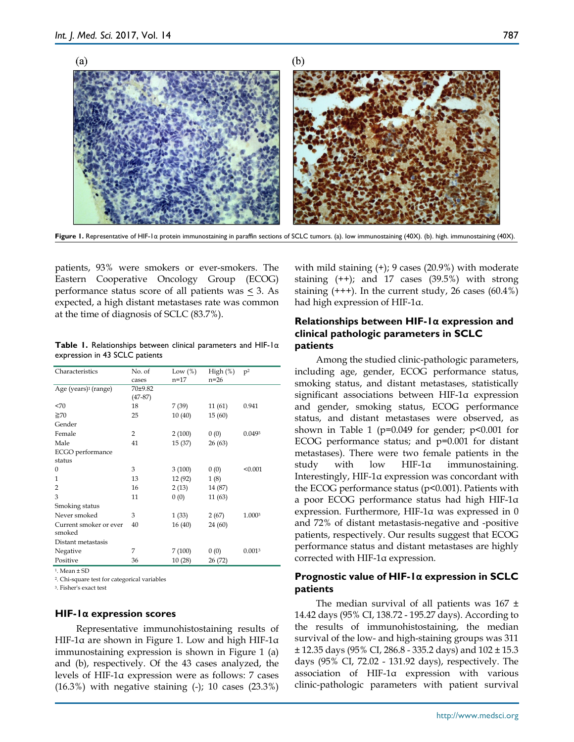

**Figure 1.** Representative of HIF-1α protein immunostaining in paraffin sections of SCLC tumors. (a). low immunostaining (40X). (b). high. immunostaining (40X).

patients, 93% were smokers or ever-smokers. The Eastern Cooperative Oncology Group (ECOG) performance status score of all patients was < 3. As expected, a high distant metastases rate was common at the time of diagnosis of SCLC (83.7%).

| <b>Table 1.</b> Relationships between clinical parameters and HIF-1 $\alpha$ |  |  |  |
|------------------------------------------------------------------------------|--|--|--|
| expression in 43 SCLC patients                                               |  |  |  |

| Characteristics                  | No. of<br>cases      | Low $(\%)$<br>$n = 17$ | High $(\%)$<br>$n=26$ | p <sup>2</sup> |
|----------------------------------|----------------------|------------------------|-----------------------|----------------|
| Age (years) <sup>1</sup> (range) | 70±9.82<br>$(47-87)$ |                        |                       |                |
| <70                              | 18                   | 7 (39)                 | 11(61)                | 0.941          |
| $\geq 70$                        | 25                   | 10(40)                 | 15(60)                |                |
| Gender                           |                      |                        |                       |                |
| Female                           | $\overline{2}$       | 2(100)                 | 0(0)                  | 0.0493         |
| Male                             | 41                   | 15(37)                 | 26(63)                |                |
| ECGO performance                 |                      |                        |                       |                |
| status                           |                      |                        |                       |                |
| $\Omega$                         | 3                    | 3(100)                 | 0(0)                  | < 0.001        |
| 1                                | 13                   | 12 (92)                | 1(8)                  |                |
| 2                                | 16                   | 2(13)                  | 14 (87)               |                |
| 3                                | 11                   | 0(0)                   | 11(63)                |                |
| Smoking status                   |                      |                        |                       |                |
| Never smoked                     | 3                    | 1(33)                  | 2(67)                 | 1.0003         |
| Current smoker or ever<br>smoked | 40                   | 16(40)                 | 24 (60)               |                |
| Distant metastasis               |                      |                        |                       |                |
| Negative                         | 7                    | 7(100)                 | 0(0)                  | 0.0013         |
| Positive                         | 36                   | 10(28)                 | 26 (72)               |                |

1. Mean ± SD

2. Chi-square test for categorical variables

3. Fisher's exact test

#### **HIF-1α expression scores**

Representative immunohistostaining results of HIF-1α are shown in Figure 1. Low and high HIF-1α immunostaining expression is shown in Figure 1 (a) and (b), respectively. Of the 43 cases analyzed, the levels of HIF-1α expression were as follows: 7 cases (16.3%) with negative staining (-); 10 cases (23.3%)

with mild staining (+); 9 cases (20.9%) with moderate staining (++); and 17 cases (39.5%) with strong staining  $(+++)$ . In the current study, 26 cases  $(60.4\%)$ had high expression of HIF-1α.

## **Relationships between HIF-1α expression and clinical pathologic parameters in SCLC patients**

Among the studied clinic-pathologic parameters, including age, gender, ECOG performance status, smoking status, and distant metastases, statistically significant associations between HIF-1α expression and gender, smoking status, ECOG performance status, and distant metastases were observed, as shown in Table 1 ( $p=0.049$  for gender;  $p<0.001$  for ECOG performance status; and p=0.001 for distant metastases). There were two female patients in the study with low HIF-1α immunostaining. Interestingly, HIF-1α expression was concordant with the ECOG performance status ( $p$ <0.001). Patients with a poor ECOG performance status had high HIF-1α expression. Furthermore, HIF-1α was expressed in 0 and 72% of distant metastasis-negative and -positive patients, respectively. Our results suggest that ECOG performance status and distant metastases are highly corrected with HIF-1α expression.

## **Prognostic value of HIF-1α expression in SCLC patients**

The median survival of all patients was  $167 \pm 16$ 14.42 days (95% CI, 138.72 - 195.27 days). According to the results of immunohistostaining, the median survival of the low- and high-staining groups was 311  $\pm$  12.35 days (95% CI, 286.8 - 335.2 days) and 102  $\pm$  15.3 days (95% CI, 72.02 - 131.92 days), respectively. The association of HIF-1α expression with various clinic-pathologic parameters with patient survival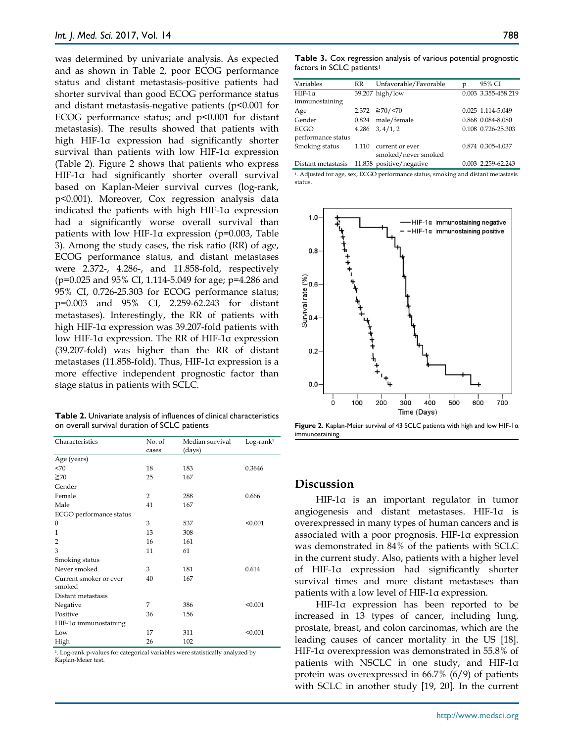was determined by univariate analysis. As expected and as shown in Table 2, poor ECOG performance status and distant metastasis-positive patients had shorter survival than good ECOG performance status and distant metastasis-negative patients  $(p<0.001$  for ECOG performance status; and  $p<0.001$  for distant metastasis). The results showed that patients with high HIF-1α expression had significantly shorter survival than patients with low HIF-1α expression (Table 2). Figure 2 shows that patients who express HIF-1α had significantly shorter overall survival based on Kaplan-Meier survival curves (log-rank, p<0.001). Moreover, Cox regression analysis data indicated the patients with high HIF-1α expression had a significantly worse overall survival than patients with low HIF-1α expression (p=0.003, Table 3). Among the study cases, the risk ratio (RR) of age, ECOG performance status, and distant metastases were 2.372-, 4.286-, and 11.858-fold, respectively (p=0.025 and 95% CI, 1.114-5.049 for age; p=4.286 and 95% CI, 0.726-25.303 for ECOG performance status; p=0.003 and 95% CI, 2.259-62.243 for distant metastases). Interestingly, the RR of patients with high HIF-1α expression was 39.207-fold patients with low HIF-1α expression. The RR of HIF-1α expression (39.207-fold) was higher than the RR of distant metastases (11.858-fold). Thus, HIF-1α expression is a more effective independent prognostic factor than stage status in patients with SCLC.

**Table 2.** Univariate analysis of influences of clinical characteristics on overall survival duration of SCLC patients

| Characteristics                  | No. of<br>cases | Median survival<br>(days) | $Log-rank1$ |
|----------------------------------|-----------------|---------------------------|-------------|
| Age (years)                      |                 |                           |             |
| 270                              | 18              | 183                       | 0.3646      |
| $\geq 70$                        | 25              | 167                       |             |
| Gender                           |                 |                           |             |
| Female                           | 2               | 288                       | 0.666       |
| Male                             | 41              | 167                       |             |
| ECGO performance status          |                 |                           |             |
| $\mathbf{0}$                     | 3               | 537                       | < 0.001     |
| $\mathbf{1}$                     | 13              | 308                       |             |
| $\overline{2}$                   | 16              | 161                       |             |
| 3                                | 11              | 61                        |             |
| Smoking status                   |                 |                           |             |
| Never smoked                     | 3               | 181                       | 0.614       |
| Current smoker or ever<br>smoked | 40              | 167                       |             |
| Distant metastasis               |                 |                           |             |
| Negative                         | 7               | 386                       | < 0.001     |
| Positive                         | 36              | 156                       |             |
| HIF-1α immunostaining            |                 |                           |             |
| Low                              | 17              | 311                       | < 0.001     |
| High                             | 26              | 102                       |             |

1. Log-rank p-values for categorical variables were statistically analyzed by Kaplan-Meier test.

**Table 3.** Cox regression analysis of various potential prognostic factors in SCLC patients<sup>1</sup>

| Variables          | RR    | Unfavorable/Favorable    | p | 95% CI              |
|--------------------|-------|--------------------------|---|---------------------|
| $HIF-1\alpha$      |       | 39.207 high/low          |   | 0.003 3.355-458.219 |
| immunostaining     |       |                          |   |                     |
| Age                |       | $2.372 \geq 70 / 570$    |   | 0.025 1.114-5.049   |
| Gender             | 0.824 | male/female              |   | 0.868 0.084-8.080   |
| ECGO               |       | $4.286 \quad 3, 4/1, 2$  |   | 0.108 0.726-25.303  |
| performance status |       |                          |   |                     |
| Smoking status     | 1.110 | current or ever          |   | 0.874 0.305-4.037   |
|                    |       | smoked/never smoked      |   |                     |
| Distant metastasis |       | 11.858 positive/negative |   | 0.003 2.259-62.243  |
|                    |       |                          |   |                     |

<sup>1</sup>. Adjusted for age, sex, ECGO performance status, smoking and distant metastasis status.



**Figure 2.** Kaplan-Meier survival of 43 SCLC patients with high and low HIF-1α immunostaining.

# **Discussion**

HIF-1α is an important regulator in tumor angiogenesis and distant metastases. HIF-1α is overexpressed in many types of human cancers and is associated with a poor prognosis. HIF-1α expression was demonstrated in 84% of the patients with SCLC in the current study. Also, patients with a higher level of HIF-1α expression had significantly shorter survival times and more distant metastases than patients with a low level of HIF-1α expression.

HIF-1α expression has been reported to be increased in 13 types of cancer, including lung, prostate, breast, and colon carcinomas, which are the leading causes of cancer mortality in the US [18]. HIF-1α overexpression was demonstrated in 55.8% of patients with NSCLC in one study, and HIF-1α protein was overexpressed in 66.7% (6/9) of patients with SCLC in another study [19, 20]. In the current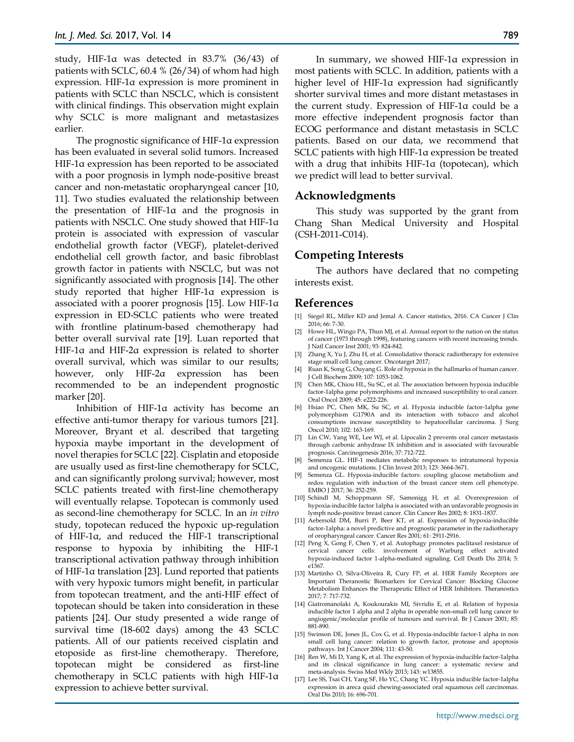study, HIF-1α was detected in 83.7% (36/43) of patients with SCLC, 60.4 % (26/34) of whom had high expression. HIF-1α expression is more prominent in patients with SCLC than NSCLC, which is consistent with clinical findings. This observation might explain why SCLC is more malignant and metastasizes earlier.

The prognostic significance of HIF-1α expression has been evaluated in several solid tumors. Increased HIF-1α expression has been reported to be associated with a poor prognosis in lymph node-positive breast cancer and non-metastatic oropharyngeal cancer [10, 11]. Two studies evaluated the relationship between the presentation of HIF-1α and the prognosis in patients with NSCLC. One study showed that HIF-1α protein is associated with expression of vascular endothelial growth factor (VEGF), platelet-derived endothelial cell growth factor, and basic fibroblast growth factor in patients with NSCLC, but was not significantly associated with prognosis [14]. The other study reported that higher HIF-1α expression is associated with a poorer prognosis [15]. Low HIF-1α expression in ED-SCLC patients who were treated with frontline platinum-based chemotherapy had better overall survival rate [19]. Luan reported that HIF-1α and HIF-2α expression is related to shorter overall survival, which was similar to our results; however, only HIF-2α expression has been recommended to be an independent prognostic marker [20].

Inhibition of HIF-1α activity has become an effective anti-tumor therapy for various tumors [21]. Moreover, Bryant et al. described that targeting hypoxia maybe important in the development of novel therapies for SCLC [22]. Cisplatin and etoposide are usually used as first-line chemotherapy for SCLC, and can significantly prolong survival; however, most SCLC patients treated with first-line chemotherapy will eventually relapse. Topotecan is commonly used as second-line chemotherapy for SCLC. In an *in vitro*  study, topotecan reduced the hypoxic up-regulation of HIF-1α, and reduced the HIF-1 transcriptional response to hypoxia by inhibiting the HIF-1 transcriptional activation pathway through inhibition of HIF-1α translation [23]. Lund reported that patients with very hypoxic tumors might benefit, in particular from topotecan treatment, and the anti-HIF effect of topotecan should be taken into consideration in these patients [24]. Our study presented a wide range of survival time (18-602 days) among the 43 SCLC patients. All of our patients received cisplatin and etoposide as first-line chemotherapy. Therefore, topotecan might be considered as first-line chemotherapy in SCLC patients with high HIF-1α expression to achieve better survival.

In summary, we showed HIF-1α expression in most patients with SCLC. In addition, patients with a higher level of HIF-1α expression had significantly shorter survival times and more distant metastases in the current study. Expression of HIF-1α could be a more effective independent prognosis factor than ECOG performance and distant metastasis in SCLC patients. Based on our data, we recommend that SCLC patients with high HIF-1α expression be treated with a drug that inhibits HIF-1α (topotecan), which we predict will lead to better survival.

# **Acknowledgments**

This study was supported by the grant from Chang Shan Medical University and Hospital (CSH-2011-C014).

# **Competing Interests**

The authors have declared that no competing interests exist.

## **References**

- [1] Siegel RL, Miller KD and Jemal A. Cancer statistics, 2016. CA Cancer J Clin 2016; 66: 7-30.
- [2] Howe HL, Wingo PA, Thun MJ, et al. Annual report to the nation on the status of cancer (1973 through 1998), featuring cancers with recent increasing trends. J Natl Cancer Inst 2001; 93: 824-842.
- [3] Zhang X, Yu J, Zhu H, et al. Consolidative thoracic radiotherapy for extensive stage small cell lung cancer. Oncotarget 2017;
- [4] Ruan K, Song G, Ouyang G. Role of hypoxia in the hallmarks of human cancer. J Cell Biochem 2009; 107: 1053-1062.
- [5] Chen MK, Chiou HL, Su SC, et al. The association between hypoxia inducible factor-1alpha gene polymorphisms and increased susceptibility to oral cancer. Oral Oncol 2009; 45: e222-226.
- [6] Hsiao PC, Chen MK, Su SC, et al. Hypoxia inducible factor-1alpha gene polymorphism G1790A and its interaction with tobacco and alcohol consumptions increase susceptibility to hepatocellular carcinoma. J Surg Oncol 2010; 102: 163-169.
- [7] Lin CW, Yang WE, Lee WJ, et al. Lipocalin 2 prevents oral cancer metastasis through carbonic anhydrase IX inhibition and is associated with favourable prognosis. Carcinogenesis 2016; 37: 712-722.
- [8] Semenza GL. HIF-1 mediates metabolic responses to intratumoral hypoxia and oncogenic mutations. J Clin Invest 2013; 123: 3664-3671.
- [9] Semenza GL. Hypoxia-inducible factors: coupling glucose metabolism and redox regulation with induction of the breast cancer stem cell phenotype. EMBO J 2017; 36: 252-259.
- [10] Schindl M, Schoppmann SF, Samonigg H, et al. Overexpression of hypoxia-inducible factor 1alpha is associated with an unfavorable prognosis in lymph node-positive breast cancer. Clin Cancer Res 2002; 8: 1831-1837.
- [11] Aebersold DM, Burri P, Beer KT, et al. Expression of hypoxia-inducible factor-1alpha: a novel predictive and prognostic parameter in the radiotherapy of oropharyngeal cancer. Cancer Res 2001; 61: 2911-2916.
- [12] Peng X, Gong F, Chen Y, et al. Autophagy promotes paclitaxel resistance of cervical cancer cells: involvement of Warburg effect activated hypoxia-induced factor 1-alpha-mediated signaling. Cell Death Dis 2014; 5: e1367.
- [13] Martinho O, Silva-Oliveira R, Cury FP, et al. HER Family Receptors are Important Theranostic Biomarkers for Cervical Cancer: Blocking Glucose Metabolism Enhances the Therapeutic Effect of HER Inhibitors. Theranostics 2017; 7: 717-732.
- [14] Giatromanolaki A, Koukourakis MI, Sivridis E, et al. Relation of hypoxia inducible factor 1 alpha and 2 alpha in operable non-small cell lung cancer to angiogenic/molecular profile of tumours and survival. Br J Cancer 2001; 85: 881-890.
- [15] Swinson DE, Jones JL, Cox G, et al. Hypoxia-inducible factor-1 alpha in non small cell lung cancer: relation to growth factor, protease and apoptosis pathways. Int J Cancer 2004; 111: 43-50.
- [16] Ren W, Mi D, Yang K, et al. The expression of hypoxia-inducible factor-1alpha and its clinical significance in lung cancer: a systematic review and meta-analysis. Swiss Med Wkly 2013; 143: w13855.
- [17] Lee SS, Tsai CH, Yang SF, Ho YC, Chang YC. Hypoxia inducible factor-1alpha expression in areca quid chewing-associated oral squamous cell carcinomas. Oral Dis 2010; 16: 696-701.